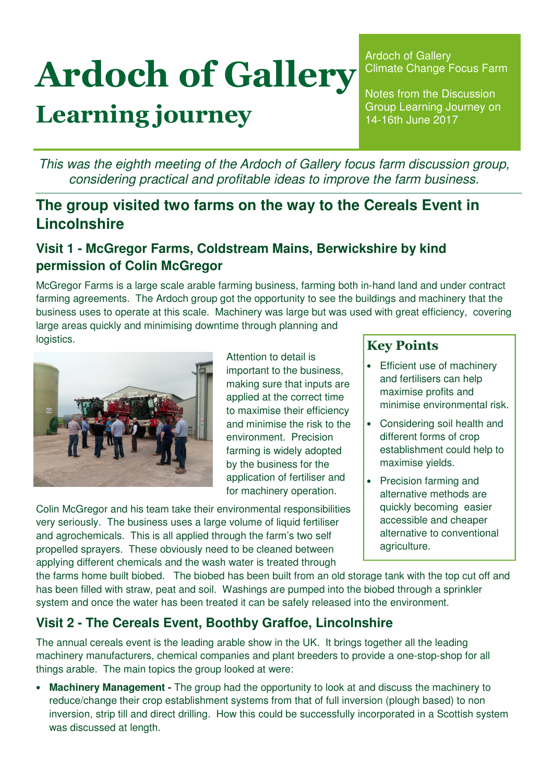# Ardoch of Gallery Learning journey

Ardoch of Gallery Climate Change Focus Farm

Notes from the Discussion Group Learning Journey on 14-16th June 2017

This was the eighth meeting of the Ardoch of Gallery focus farm discussion group, considering practical and profitable ideas to improve the farm business.

## **The group visited two farms on the way to the Cereals Event in Lincolnshire**

#### **Visit 1 - McGregor Farms, Coldstream Mains, Berwickshire by kind permission of Colin McGregor**

McGregor Farms is a large scale arable farming business, farming both in-hand land and under contract farming agreements. The Ardoch group got the opportunity to see the buildings and machinery that the business uses to operate at this scale. Machinery was large but was used with great efficiency, covering large areas quickly and minimising downtime through planning and logistics.



Attention to detail is important to the business, making sure that inputs are applied at the correct time to maximise their efficiency and minimise the risk to the environment. Precision farming is widely adopted by the business for the application of fertiliser and for machinery operation.

Colin McGregor and his team take their environmental responsibilities very seriously. The business uses a large volume of liquid fertiliser and agrochemicals. This is all applied through the farm's two self propelled sprayers. These obviously need to be cleaned between applying different chemicals and the wash water is treated through

#### Key Points

- Efficient use of machinery and fertilisers can help maximise profits and minimise environmental risk.
- Considering soil health and different forms of crop establishment could help to maximise yields.
- Precision farming and alternative methods are quickly becoming easier accessible and cheaper alternative to conventional agriculture.

the farms home built biobed. The biobed has been built from an old storage tank with the top cut off and has been filled with straw, peat and soil. Washings are pumped into the biobed through a sprinkler system and once the water has been treated it can be safely released into the environment.

### **Visit 2 - The Cereals Event, Boothby Graffoe, Lincolnshire**

The annual cereals event is the leading arable show in the UK. It brings together all the leading machinery manufacturers, chemical companies and plant breeders to provide a one-stop-shop for all things arable. The main topics the group looked at were:

• **Machinery Management -** The group had the opportunity to look at and discuss the machinery to reduce/change their crop establishment systems from that of full inversion (plough based) to non inversion, strip till and direct drilling. How this could be successfully incorporated in a Scottish system was discussed at length.